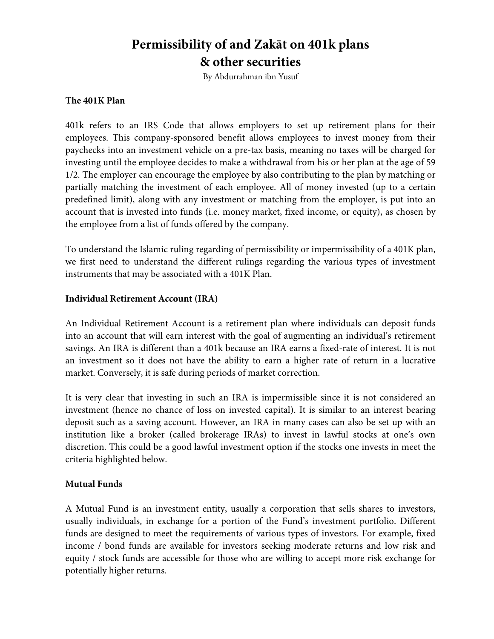# **Permissibility of and Zakāt on 401k plans & other securities**

By Abdurrahman ibn Yusuf

#### **The 401K Plan**

401k refers to an IRS Code that allows employers to set up retirement plans for their employees. This company-sponsored benefit allows employees to invest money from their paychecks into an investment vehicle on a pre-tax basis, meaning no taxes will be charged for investing until the employee decides to make a withdrawal from his or her plan at the age of 59 1/2. The employer can encourage the employee by also contributing to the plan by matching or partially matching the investment of each employee. All of money invested (up to a certain predefined limit), along with any investment or matching from the employer, is put into an account that is invested into funds (i.e. money market, fixed income, or equity), as chosen by the employee from a list of funds offered by the company.

To understand the Islamic ruling regarding of permissibility or impermissibility of a 401K plan, we first need to understand the different rulings regarding the various types of investment instruments that may be associated with a 401K Plan.

### **Individual Retirement Account (IRA)**

An Individual Retirement Account is a retirement plan where individuals can deposit funds into an account that will earn interest with the goal of augmenting an individual's retirement savings. An IRA is different than a 401k because an IRA earns a fixed-rate of interest. It is not an investment so it does not have the ability to earn a higher rate of return in a lucrative market. Conversely, it is safe during periods of market correction.

It is very clear that investing in such an IRA is impermissible since it is not considered an investment (hence no chance of loss on invested capital). It is similar to an interest bearing deposit such as a saving account. However, an IRA in many cases can also be set up with an institution like a broker (called brokerage IRAs) to invest in lawful stocks at one's own discretion. This could be a good lawful investment option if the stocks one invests in meet the criteria highlighted below.

#### **Mutual Funds**

A Mutual Fund is an investment entity, usually a corporation that sells shares to investors, usually individuals, in exchange for a portion of the Fund's investment portfolio. Different funds are designed to meet the requirements of various types of investors. For example, fixed income / bond funds are available for investors seeking moderate returns and low risk and equity / stock funds are accessible for those who are willing to accept more risk exchange for potentially higher returns.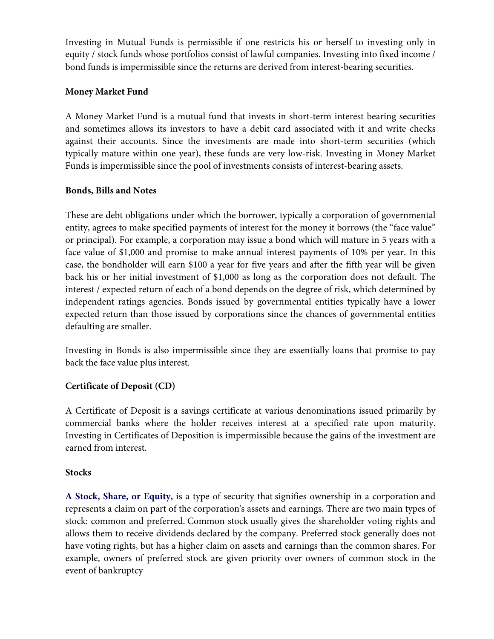Investing in Mutual Funds is permissible if one restricts his or herself to investing only in equity / stock funds whose portfolios consist of lawful companies. Investing into fixed income / bond funds is impermissible since the returns are derived from interest-bearing securities.

# **Money Market Fund**

A Money Market Fund is a mutual fund that invests in short-term interest bearing securities and sometimes allows its investors to have a debit card associated with it and write checks against their accounts. Since the investments are made into short-term securities (which typically mature within one year), these funds are very low-risk. Investing in Money Market Funds is impermissible since the pool of investments consists of interest-bearing assets.

# **Bonds, Bills and Notes**

These are debt obligations under which the borrower, typically a corporation of governmental entity, agrees to make specified payments of interest for the money it borrows (the "face value" or principal). For example, a corporation may issue a bond which will mature in 5 years with a face value of \$1,000 and promise to make annual interest payments of 10% per year. In this case, the bondholder will earn \$100 a year for five years and after the fifth year will be given back his or her initial investment of \$1,000 as long as the corporation does not default. The interest / expected return of each of a bond depends on the degree of risk, which determined by independent ratings agencies. Bonds issued by governmental entities typically have a lower expected return than those issued by corporations since the chances of governmental entities defaulting are smaller.

Investing in Bonds is also impermissible since they are essentially loans that promise to pay back the face value plus interest.

# **Certificate of Deposit (CD)**

A Certificate of Deposit is a savings certificate at various denominations issued primarily by commercial banks where the holder receives interest at a specified rate upon maturity. Investing in Certificates of Deposition is impermissible because the gains of the investment are earned from interest.

## **Stocks**

**A Stock, Share, or Equity,** is a type of security that signifies ownership in a corporation and represents a claim on part of the corporation's assets and earnings. There are two main types of stock: common and preferred. Common stock usually gives the shareholder voting rights and allows them to receive dividends declared by the company. Preferred stock generally does not have voting rights, but has a higher claim on assets and earnings than the common shares. For example, owners of preferred stock are given priority over owners of common stock in the event of bankruptcy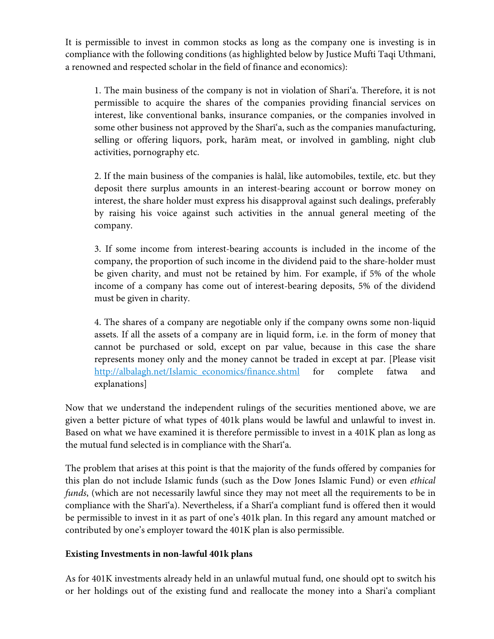It is permissible to invest in common stocks as long as the company one is investing is in compliance with the following conditions (as highlighted below by Justice Mufti Taqi Uthmani, a renowned and respected scholar in the field of finance and economics):

1. The main business of the company is not in violation of Shari'a. Therefore, it is not permissible to acquire the shares of the companies providing financial services on interest, like conventional banks, insurance companies, or the companies involved in some other business not approved by the Sharī'a, such as the companies manufacturing, selling or offering liquors, pork, harām meat, or involved in gambling, night club activities, pornography etc.

2. If the main business of the companies is halāl, like automobiles, textile, etc. but they deposit there surplus amounts in an interest-bearing account or borrow money on interest, the share holder must express his disapproval against such dealings, preferably by raising his voice against such activities in the annual general meeting of the company.

3. If some income from interest-bearing accounts is included in the income of the company, the proportion of such income in the dividend paid to the share-holder must be given charity, and must not be retained by him. For example, if 5% of the whole income of a company has come out of interest-bearing deposits, 5% of the dividend must be given in charity.

4. The shares of a company are negotiable only if the company owns some non-liquid assets. If all the assets of a company are in liquid form, i.e. in the form of money that cannot be purchased or sold, except on par value, because in this case the share represents money only and the money cannot be traded in except at par. [Please visit http://albalagh.net/Islamic\_economics/finance.shtml for complete fatwa and explanations]

Now that we understand the independent rulings of the securities mentioned above, we are given a better picture of what types of 401k plans would be lawful and unlawful to invest in. Based on what we have examined it is therefore permissible to invest in a 401K plan as long as the mutual fund selected is in compliance with the Sharī'a.

The problem that arises at this point is that the majority of the funds offered by companies for this plan do not include Islamic funds (such as the Dow Jones Islamic Fund) or even *ethical funds*, (which are not necessarily lawful since they may not meet all the requirements to be in compliance with the Sharī'a). Nevertheless, if a Sharī'a compliant fund is offered then it would be permissible to invest in it as part of one's 401k plan. In this regard any amount matched or contributed by one's employer toward the 401K plan is also permissible.

## **Existing Investments in non-lawful 401k plans**

As for 401K investments already held in an unlawful mutual fund, one should opt to switch his or her holdings out of the existing fund and reallocate the money into a Shari'a compliant